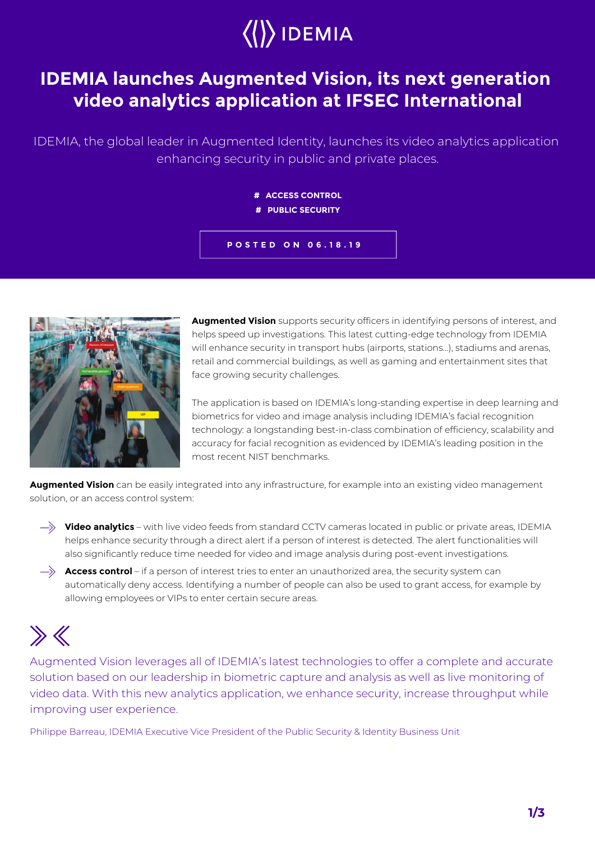

## **IDEMIA launches Augmented Vision, its next generation video analytics application at IFSEC International**

IDEMIA, the global leader in Augmented Identity, launches its video analytics application enhancing security in public and private places.

**# ACCESS CONTROL**

**# PUBLIC SECURITY**





**Augmented Vision** supports security officers in identifying persons of interest, and helps speed up investigations. This latest cutting-edge technology from IDEMIA will enhance security in transport hubs (airports, stations…), stadiums and arenas, retail and commercial buildings, as well as gaming and entertainment sites that face growing security challenges.

The application is based on IDEMIA's long-standing expertise in deep learning and biometrics for video and image analysis including IDEMIA's facial recognition technology: a longstanding best-in-class combination of efficiency, scalability and accuracy for facial recognition as evidenced by IDEMIA's leading position in the most recent NIST benchmarks.

**Augmented Vision** can be easily integrated into any infrastructure, for example into an existing video management solution, or an access control system:

- **Video analytics** with live video feeds from standard CCTV cameras located in public or private areas, IDEMIA helps enhance security through a direct alert if a person of interest is detected. The alert functionalities will also significantly reduce time needed for video and image analysis during post-event investigations.
- $\rightarrow$  **Access control** if a person of interest tries to enter an unauthorized area, the security system can automatically deny access. Identifying a number of people can also be used to grant access, for example by allowing employees or VIPs to enter certain secure areas.

## $\gg K$

Augmented Vision leverages all of IDEMIA's latest technologies to offer a complete and accurate solution based on our leadership in biometric capture and analysis as well as live monitoring of video data. With this new analytics application, we enhance security, increase throughput while improving user experience.

Philippe Barreau, IDEMIA Executive Vice President of the Public Security & Identity Business Unit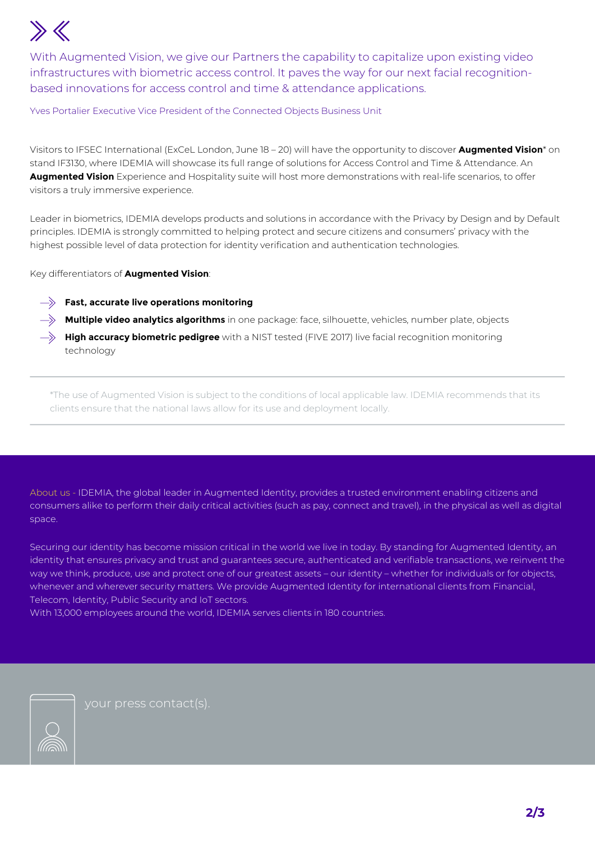## $\rightarrow$

With Augmented Vision, we give our Partners the capability to capitalize upon existing video infrastructures with biometric access control. It paves the way for our next facial recognitionbased innovations for access control and time & attendance applications.

Yves Portalier Executive Vice President of the Connected Objects Business Unit

Visitors to IFSEC International (ExCeL London, June 18 – 20) will have the opportunity to discover **Augmented Vision**\* on stand IF3130, where IDEMIA will showcase its full range of solutions for Access Control and Time & Attendance. An **Augmented Vision** Experience and Hospitality suite will host more demonstrations with real-life scenarios, to offer visitors a truly immersive experience.

Leader in biometrics, IDEMIA develops products and solutions in accordance with the Privacy by Design and by Default principles. IDEMIA is strongly committed to helping protect and secure citizens and consumers' privacy with the highest possible level of data protection for identity verification and authentication technologies.

Key differentiators of **Augmented Vision**:

- **Fast, accurate live operations monitoring**
- **Multiple video analytics algorithms** in one package: face, silhouette, vehicles, number plate, objects
- $\rightarrow$  **High accuracy biometric pedigree** with a NIST tested (FIVE 2017) live facial recognition monitoring technology

\*The use of Augmented Vision is subject to the conditions of local applicable law. IDEMIA recommends that its clients ensure that the national laws allow for its use and deployment locally.

About us - IDEMIA, the global leader in Augmented Identity, provides a trusted environment enabling citizens and consumers alike to perform their daily critical activities (such as pay, connect and travel), in the physical as well as digital space.

Securing our identity has become mission critical in the world we live in today. By standing for Augmented Identity, an identity that ensures privacy and trust and guarantees secure, authenticated and verifiable transactions, we reinvent the way we think, produce, use and protect one of our greatest assets – our identity – whether for individuals or for objects, whenever and wherever security matters. We provide Augmented Identity for international clients from Financial, Telecom, Identity, Public Security and IoT sectors.

With 13,000 employees around the world, IDEMIA serves clients in 180 countries.